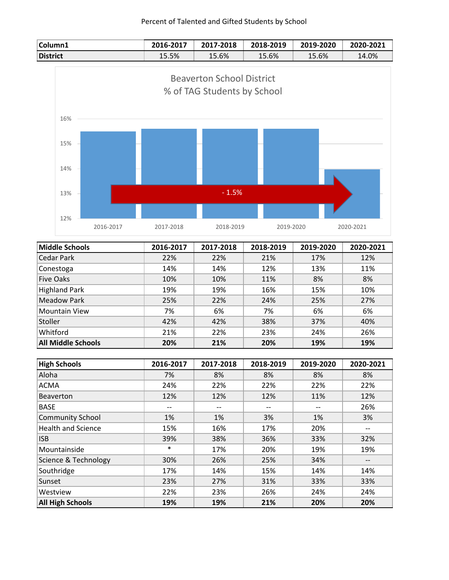## Percent of Talented and Gifted Students by School



| <b>Middle Schools</b>     | 2016-2017 | 2017-2018 | 2018-2019 | 2019-2020 | 2020-2021 |
|---------------------------|-----------|-----------|-----------|-----------|-----------|
| Cedar Park                | 22%       | 22%       | 21%       | 17%       | 12%       |
| Conestoga                 | 14%       | 14%       | 12%       | 13%       | 11%       |
| <b>Five Oaks</b>          | 10%       | 10%       | 11%       | 8%        | 8%        |
| <b>Highland Park</b>      | 19%       | 19%       | 16%       | 15%       | 10%       |
| Meadow Park               | 25%       | 22%       | 24%       | 25%       | 27%       |
| <b>Mountain View</b>      | 7%        | 6%        | 7%        | 6%        | 6%        |
| Stoller                   | 42%       | 42%       | 38%       | 37%       | 40%       |
| Whitford                  | 21%       | 22%       | 23%       | 24%       | 26%       |
| <b>All Middle Schools</b> | 20%       | 21%       | 20%       | 19%       | 19%       |

| <b>High Schools</b>       | 2016-2017 | 2017-2018 | 2018-2019 | 2019-2020 | 2020-2021         |
|---------------------------|-----------|-----------|-----------|-----------|-------------------|
| Aloha                     | 7%        | 8%        | 8%        | 8%        | 8%                |
| <b>ACMA</b>               | 24%       | 22%       | 22%       | 22%       | 22%               |
| <b>Beaverton</b>          | 12%       | 12%       | 12%       | 11%       | 12%               |
| <b>BASE</b>               | --        | $- -$     | --        | --        | 26%               |
| <b>Community School</b>   | 1%        | 1%        | 3%        | 1%        | 3%                |
| <b>Health and Science</b> | 15%       | 16%       | 17%       | 20%       | --                |
| <b>ISB</b>                | 39%       | 38%       | 36%       | 33%       | 32%               |
| Mountainside              | $\ast$    | 17%       | 20%       | 19%       | 19%               |
| Science & Technology      | 30%       | 26%       | 25%       | 34%       | $\qquad \qquad -$ |
| Southridge                | 17%       | 14%       | 15%       | 14%       | 14%               |
| Sunset                    | 23%       | 27%       | 31%       | 33%       | 33%               |
| Westview                  | 22%       | 23%       | 26%       | 24%       | 24%               |
| <b>All High Schools</b>   | 19%       | 19%       | 21%       | 20%       | 20%               |